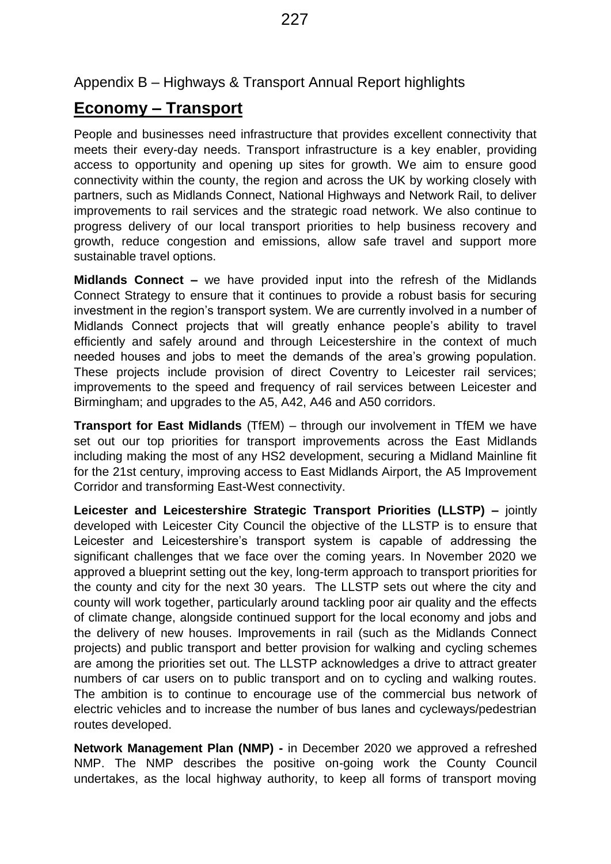## Appendix B – Highways & Transport Annual Report highlights

# **Economy – Transport**

People and businesses need infrastructure that provides excellent connectivity that meets their every-day needs. Transport infrastructure is a key enabler, providing access to opportunity and opening up sites for growth. We aim to ensure good connectivity within the county, the region and across the UK by working closely with partners, such as Midlands Connect, National Highways and Network Rail, to deliver improvements to rail services and the strategic road network. We also continue to progress delivery of our local transport priorities to help business recovery and growth, reduce congestion and emissions, allow safe travel and support more sustainable travel options.

**Midlands Connect –** we have provided input into the refresh of the Midlands Connect Strategy to ensure that it continues to provide a robust basis for securing investment in the region's transport system. We are currently involved in a number of Midlands Connect projects that will greatly enhance people's ability to travel efficiently and safely around and through Leicestershire in the context of much needed houses and jobs to meet the demands of the area's growing population. These projects include provision of direct Coventry to Leicester rail services; improvements to the speed and frequency of rail services between Leicester and Birmingham; and upgrades to the A5, A42, A46 and A50 corridors.

**Transport for East Midlands** (TfEM) – through our involvement in TfEM we have set out our top priorities for transport improvements across the East Midlands including making the most of any HS2 development, securing a Midland Mainline fit for the 21st century, improving access to East Midlands Airport, the A5 Improvement Corridor and transforming East-West connectivity.

**Leicester and Leicestershire Strategic Transport Priorities (LLSTP) –** jointly developed with Leicester City Council the objective of the LLSTP is to ensure that Leicester and Leicestershire's transport system is capable of addressing the significant challenges that we face over the coming years. In November 2020 we approved a blueprint setting out the key, long-term approach to transport priorities for the county and city for the next 30 years. The LLSTP sets out where the city and county will work together, particularly around tackling poor air quality and the effects of climate change, alongside continued support for the local economy and jobs and the delivery of new houses. Improvements in rail (such as the Midlands Connect projects) and public transport and better provision for walking and cycling schemes are among the priorities set out. The LLSTP acknowledges a drive to attract greater numbers of car users on to public transport and on to cycling and walking routes. The ambition is to continue to encourage use of the commercial bus network of electric vehicles and to increase the number of bus lanes and cycleways/pedestrian routes developed.

**Network Management Plan (NMP) -** in December 2020 we approved a refreshed NMP. The NMP describes the positive on-going work the County Council undertakes, as the local highway authority, to keep all forms of transport moving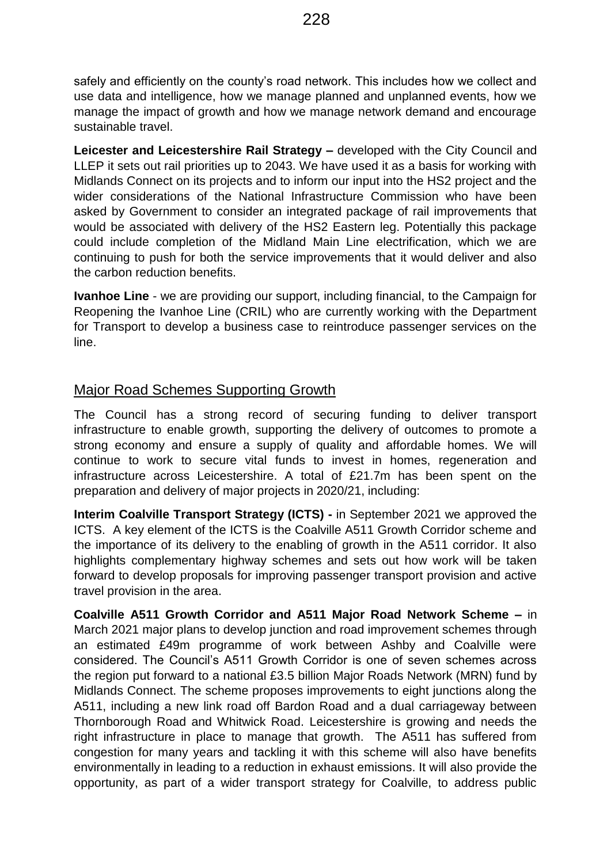safely and efficiently on the county's road network. This includes how we collect and use data and intelligence, how we manage planned and unplanned events, how we manage the impact of growth and how we manage network demand and encourage sustainable travel.

**Leicester and Leicestershire Rail Strategy –** developed with the City Council and LLEP it sets out rail priorities up to 2043. We have used it as a basis for working with Midlands Connect on its projects and to inform our input into the HS2 project and the wider considerations of the National Infrastructure Commission who have been asked by Government to consider an integrated package of rail improvements that would be associated with delivery of the HS2 Eastern leg. Potentially this package could include completion of the Midland Main Line electrification, which we are continuing to push for both the service improvements that it would deliver and also the carbon reduction benefits.

**Ivanhoe Line** - we are providing our support, including financial, to the Campaign for Reopening the Ivanhoe Line (CRIL) who are currently working with the Department for Transport to develop a business case to reintroduce passenger services on the line.

## Major Road Schemes Supporting Growth

The Council has a strong record of securing funding to deliver transport infrastructure to enable growth, supporting the delivery of outcomes to promote a strong economy and ensure a supply of quality and affordable homes. We will continue to work to secure vital funds to invest in homes, regeneration and infrastructure across Leicestershire. A total of £21.7m has been spent on the preparation and delivery of major projects in 2020/21, including:

**Interim Coalville Transport Strategy (ICTS) -** in September 2021 we approved the ICTS. A key element of the ICTS is the Coalville A511 Growth Corridor scheme and the importance of its delivery to the enabling of growth in the A511 corridor. It also highlights complementary highway schemes and sets out how work will be taken forward to develop proposals for improving passenger transport provision and active travel provision in the area.

**Coalville A511 Growth Corridor and A511 Major Road Network Scheme –** in March 2021 major plans to develop junction and road improvement schemes through an estimated £49m programme of work between Ashby and Coalville were considered. The Council's A511 Growth Corridor is one of seven schemes across the region put forward to a national £3.5 billion Major Roads Network (MRN) fund by Midlands Connect. The scheme proposes improvements to eight junctions along the A511, including a new link road off Bardon Road and a dual carriageway between Thornborough Road and Whitwick Road. Leicestershire is growing and needs the right infrastructure in place to manage that growth. The A511 has suffered from congestion for many years and tackling it with this scheme will also have benefits environmentally in leading to a reduction in exhaust emissions. It will also provide the opportunity, as part of a wider transport strategy for Coalville, to address public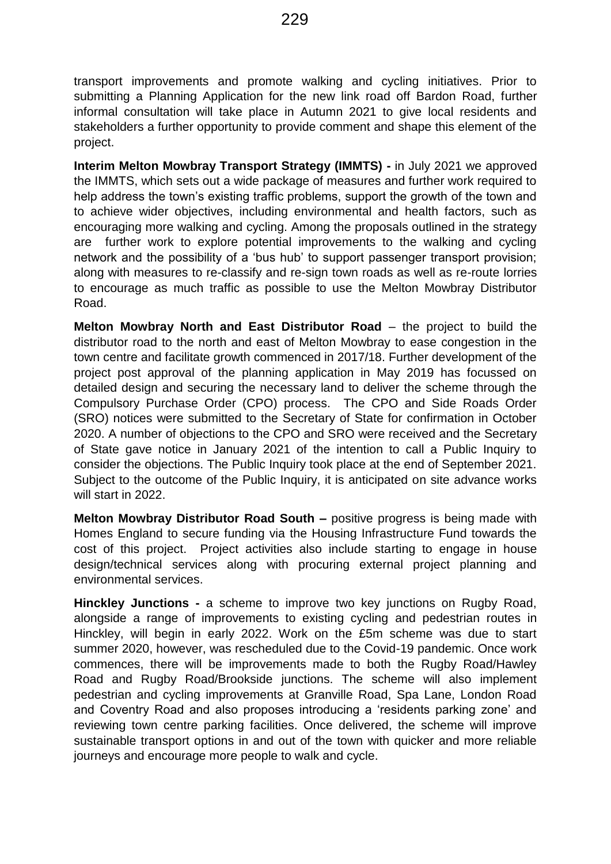transport improvements and promote walking and cycling initiatives. Prior to submitting a Planning Application for the new link road off Bardon Road, further informal consultation will take place in Autumn 2021 to give local residents and stakeholders a further opportunity to provide comment and shape this element of the project.

**Interim Melton Mowbray Transport Strategy (IMMTS) -** in July 2021 we approved the IMMTS, which sets out a wide package of measures and further work required to help address the town's existing traffic problems, support the growth of the town and to achieve wider objectives, including environmental and health factors, such as encouraging more walking and cycling. Among the proposals outlined in the strategy are further work to explore potential improvements to the walking and cycling network and the possibility of a 'bus hub' to support passenger transport provision; along with measures to re-classify and re-sign town roads as well as re-route lorries to encourage as much traffic as possible to use the Melton Mowbray Distributor Road.

**Melton Mowbray North and East Distributor Road – the project to build the** distributor road to the north and east of Melton Mowbray to ease congestion in the town centre and facilitate growth commenced in 2017/18. Further development of the project post approval of the planning application in May 2019 has focussed on detailed design and securing the necessary land to deliver the scheme through the Compulsory Purchase Order (CPO) process. The CPO and Side Roads Order (SRO) notices were submitted to the Secretary of State for confirmation in October 2020. A number of objections to the CPO and SRO were received and the Secretary of State gave notice in January 2021 of the intention to call a Public Inquiry to consider the objections. The Public Inquiry took place at the end of September 2021. Subject to the outcome of the Public Inquiry, it is anticipated on site advance works will start in 2022.

**Melton Mowbray Distributor Road South –** positive progress is being made with Homes England to secure funding via the Housing Infrastructure Fund towards the cost of this project. Project activities also include starting to engage in house design/technical services along with procuring external project planning and environmental services.

**Hinckley Junctions -** a scheme to improve two key junctions on Rugby Road, alongside a range of improvements to existing cycling and pedestrian routes in Hinckley, will begin in early 2022. Work on the £5m scheme was due to start summer 2020, however, was rescheduled due to the Covid-19 pandemic. Once work commences, there will be improvements made to both the Rugby Road/Hawley Road and Rugby Road/Brookside junctions. The scheme will also implement pedestrian and cycling improvements at Granville Road, Spa Lane, London Road and Coventry Road and also proposes introducing a 'residents parking zone' and reviewing town centre parking facilities. Once delivered, the scheme will improve sustainable transport options in and out of the town with quicker and more reliable journeys and encourage more people to walk and cycle.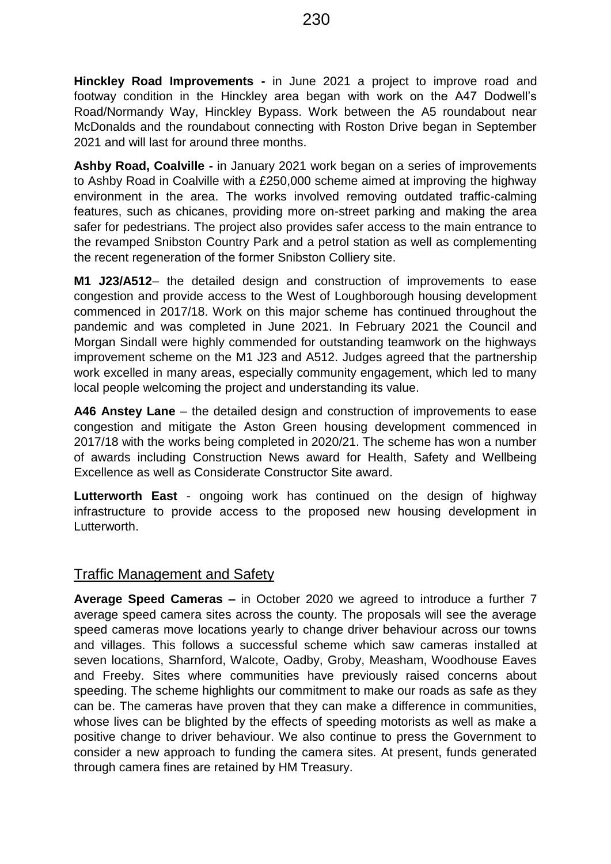**Hinckley Road Improvements -** in June 2021 a project to improve road and footway condition in the Hinckley area began with work on the A47 Dodwell's Road/Normandy Way, Hinckley Bypass. Work between the A5 roundabout near McDonalds and the roundabout connecting with Roston Drive began in September 2021 and will last for around three months.

**Ashby Road, Coalville -** in January 2021 work began on a series of improvements to Ashby Road in Coalville with a £250,000 scheme aimed at improving the highway environment in the area. The works involved removing outdated traffic-calming features, such as chicanes, providing more on-street parking and making the area safer for pedestrians. The project also provides safer access to the main entrance to the revamped Snibston Country Park and a petrol station as well as complementing the recent regeneration of the former Snibston Colliery site.

**M1 J23/A512**– the detailed design and construction of improvements to ease congestion and provide access to the West of Loughborough housing development commenced in 2017/18. Work on this major scheme has continued throughout the pandemic and was completed in June 2021. In February 2021 the Council and Morgan Sindall were highly commended for outstanding teamwork on the highways improvement scheme on the M1 J23 and A512. Judges agreed that the partnership work excelled in many areas, especially community engagement, which led to many local people welcoming the project and understanding its value.

**A46 Anstey Lane** – the detailed design and construction of improvements to ease congestion and mitigate the Aston Green housing development commenced in 2017/18 with the works being completed in 2020/21. The scheme has won a number of awards including Construction News award for Health, Safety and Wellbeing Excellence as well as Considerate Constructor Site award.

**Lutterworth East** - ongoing work has continued on the design of highway infrastructure to provide access to the proposed new housing development in Lutterworth.

#### Traffic Management and Safety

**Average Speed Cameras –** in October 2020 we agreed to introduce a further 7 average speed camera sites across the county. The proposals will see the average speed cameras move locations yearly to change driver behaviour across our towns and villages. This follows a successful scheme which saw cameras installed at seven locations, Sharnford, Walcote, Oadby, Groby, Measham, Woodhouse Eaves and Freeby. Sites where communities have previously raised concerns about speeding. The scheme highlights our commitment to make our roads as safe as they can be. The cameras have proven that they can make a difference in communities, whose lives can be blighted by the effects of speeding motorists as well as make a positive change to driver behaviour. We also continue to press the Government to consider a new approach to funding the camera sites. At present, funds generated through camera fines are retained by HM Treasury.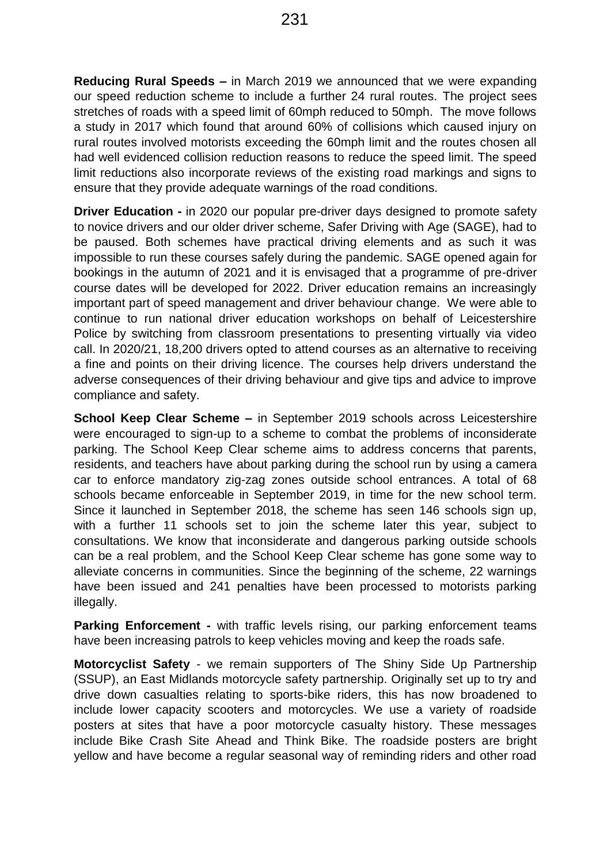**Reducing Rural Speeds –** in March 2019 we announced that we were expanding our speed reduction scheme to include a further 24 rural routes. The project sees stretches of roads with a speed limit of 60mph reduced to 50mph. The move follows a study in 2017 which found that around 60% of collisions which caused injury on rural routes involved motorists exceeding the 60mph limit and the routes chosen all had well evidenced collision reduction reasons to reduce the speed limit. The speed limit reductions also incorporate reviews of the existing road markings and signs to ensure that they provide adequate warnings of the road conditions.

**Driver Education -** in 2020 our popular pre-driver days designed to promote safety to novice drivers and our older driver scheme, Safer Driving with Age (SAGE), had to be paused. Both schemes have practical driving elements and as such it was impossible to run these courses safely during the pandemic. SAGE opened again for bookings in the autumn of 2021 and it is envisaged that a programme of pre-driver course dates will be developed for 2022. Driver education remains an increasingly important part of speed management and driver behaviour change. We were able to continue to run national driver education workshops on behalf of Leicestershire Police by switching from classroom presentations to presenting virtually via video call. In 2020/21, 18,200 drivers opted to attend courses as an alternative to receiving a fine and points on their driving licence. The courses help drivers understand the adverse consequences of their driving behaviour and give tips and advice to improve compliance and safety.

**School Keep Clear Scheme –** in September 2019 schools across Leicestershire were encouraged to sign-up to a scheme to combat the problems of inconsiderate parking. The School Keep Clear scheme aims to address concerns that parents, residents, and teachers have about parking during the school run by using a camera car to enforce mandatory zig-zag zones outside school entrances. A total of 68 schools became enforceable in September 2019, in time for the new school term. Since it launched in September 2018, the scheme has seen 146 schools sign up, with a further 11 schools set to join the scheme later this year, subject to consultations. We know that inconsiderate and dangerous parking outside schools can be a real problem, and the School Keep Clear scheme has gone some way to alleviate concerns in communities. Since the beginning of the scheme, 22 warnings have been issued and 241 penalties have been processed to motorists parking illegally.

**Parking Enforcement -** with traffic levels rising, our parking enforcement teams have been increasing patrols to keep vehicles moving and keep the roads safe.

**Motorcyclist Safety** - we remain supporters of The Shiny Side Up Partnership (SSUP), an East Midlands motorcycle safety partnership. Originally set up to try and drive down casualties relating to sports-bike riders, this has now broadened to include lower capacity scooters and motorcycles. We use a variety of roadside posters at sites that have a poor motorcycle casualty history. These messages include Bike Crash Site Ahead and Think Bike. The roadside posters are bright yellow and have become a regular seasonal way of reminding riders and other road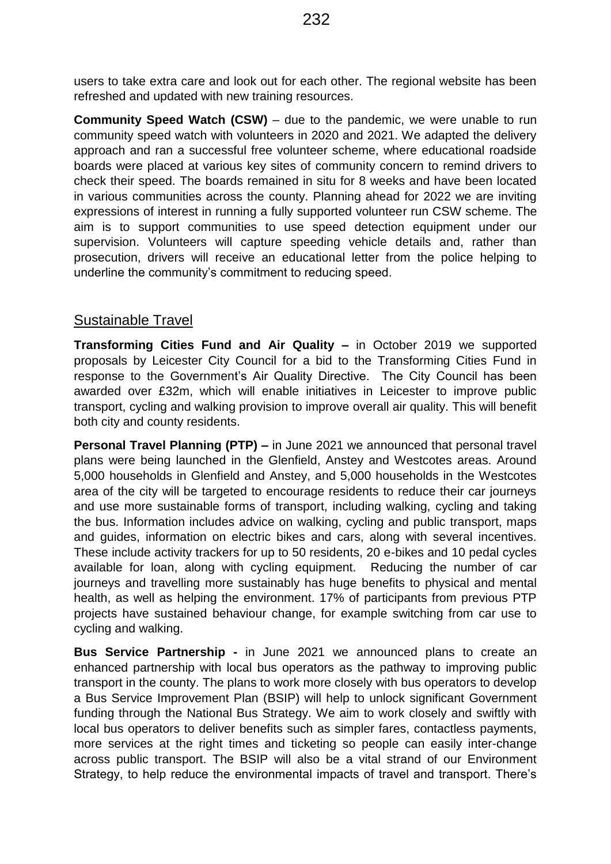users to take extra care and look out for each other. The regional website has been refreshed and updated with new training resources.

**Community Speed Watch (CSW)** – due to the pandemic, we were unable to run community speed watch with volunteers in 2020 and 2021. We adapted the delivery approach and ran a successful free volunteer scheme, where educational roadside boards were placed at various key sites of community concern to remind drivers to check their speed. The boards remained in situ for 8 weeks and have been located in various communities across the county. Planning ahead for 2022 we are inviting expressions of interest in running a fully supported volunteer run CSW scheme. The aim is to support communities to use speed detection equipment under our supervision. Volunteers will capture speeding vehicle details and, rather than prosecution, drivers will receive an educational letter from the police helping to underline the community's commitment to reducing speed.

## Sustainable Travel

**Transforming Cities Fund and Air Quality –** in October 2019 we supported proposals by Leicester City Council for a bid to the Transforming Cities Fund in response to the Government's Air Quality Directive. The City Council has been awarded over £32m, which will enable initiatives in Leicester to improve public transport, cycling and walking provision to improve overall air quality. This will benefit both city and county residents.

**Personal Travel Planning (PTP) –** in June 2021 we announced that personal travel plans were being launched in the Glenfield, Anstey and Westcotes areas. Around 5,000 households in Glenfield and Anstey, and 5,000 households in the Westcotes area of the city will be targeted to encourage residents to reduce their car journeys and use more sustainable forms of transport, including walking, cycling and taking the bus. Information includes advice on walking, cycling and public transport, maps and guides, information on electric bikes and cars, along with several incentives. These include activity trackers for up to 50 residents, 20 e-bikes and 10 pedal cycles available for loan, along with cycling equipment. Reducing the number of car journeys and travelling more sustainably has huge benefits to physical and mental health, as well as helping the environment. 17% of participants from previous PTP projects have sustained behaviour change, for example switching from car use to cycling and walking.

**Bus Service Partnership -** in June 2021 we announced plans to create an enhanced partnership with local bus operators as the pathway to improving public transport in the county. The plans to work more closely with bus operators to develop a Bus Service Improvement Plan (BSIP) will help to unlock significant Government funding through the National Bus Strategy. We aim to work closely and swiftly with local bus operators to deliver benefits such as simpler fares, contactless payments, more services at the right times and ticketing so people can easily inter-change across public transport. The BSIP will also be a vital strand of our Environment Strategy, to help reduce the environmental impacts of travel and transport. There's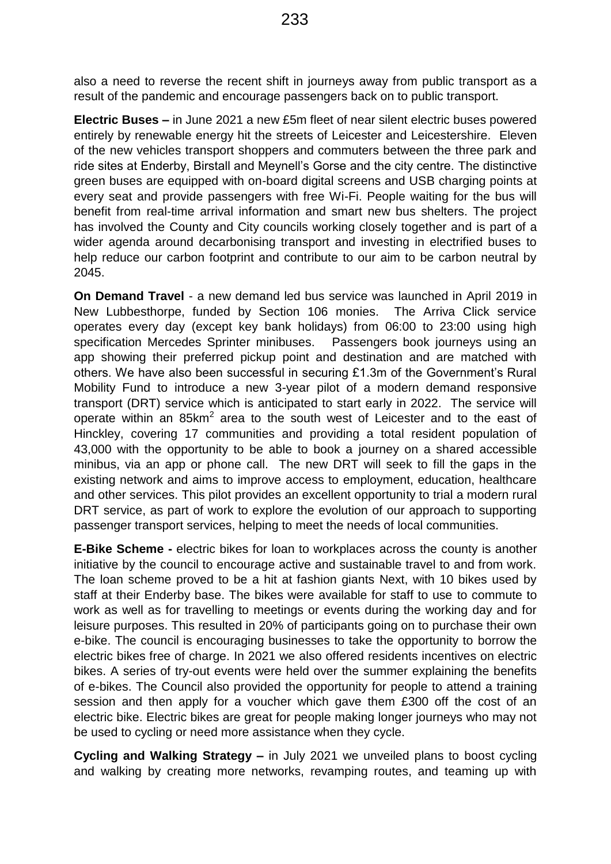also a need to reverse the recent shift in journeys away from public transport as a result of the pandemic and encourage passengers back on to public transport.

**Electric Buses –** in June 2021 a new £5m fleet of near silent electric buses powered entirely by renewable energy hit the streets of Leicester and Leicestershire. Eleven of the new vehicles transport shoppers and commuters between the three park and ride sites at Enderby, Birstall and Meynell's Gorse and the city centre. The distinctive green buses are equipped with on-board digital screens and USB charging points at every seat and provide passengers with free Wi-Fi. People waiting for the bus will benefit from real-time arrival information and smart new bus shelters. The project has involved the County and City councils working closely together and is part of a wider agenda around decarbonising transport and investing in electrified buses to help reduce our carbon footprint and contribute to our aim to be carbon neutral by 2045.

**On Demand Travel** - a new demand led bus service was launched in April 2019 in New Lubbesthorpe, funded by Section 106 monies. The Arriva Click service operates every day (except key bank holidays) from 06:00 to 23:00 using high specification Mercedes Sprinter minibuses. Passengers book journeys using an app showing their preferred pickup point and destination and are matched with others. We have also been successful in securing £1.3m of the Government's Rural Mobility Fund to introduce a new 3-year pilot of a modern demand responsive transport (DRT) service which is anticipated to start early in 2022. The service will operate within an  $85 \text{km}^2$  area to the south west of Leicester and to the east of Hinckley, covering 17 communities and providing a total resident population of 43,000 with the opportunity to be able to book a journey on a shared accessible minibus, via an app or phone call. The new DRT will seek to fill the gaps in the existing network and aims to improve access to employment, education, healthcare and other services. This pilot provides an excellent opportunity to trial a modern rural DRT service, as part of work to explore the evolution of our approach to supporting passenger transport services, helping to meet the needs of local communities.

**E-Bike Scheme -** electric bikes for loan to workplaces across the county is another initiative by the council to encourage active and sustainable travel to and from work. The loan scheme proved to be a hit at fashion giants Next, with 10 bikes used by staff at their Enderby base. The bikes were available for staff to use to commute to work as well as for travelling to meetings or events during the working day and for leisure purposes. This resulted in 20% of participants going on to purchase their own e-bike. The council is encouraging businesses to take the opportunity to borrow the electric bikes free of charge. In 2021 we also offered residents incentives on electric bikes. A series of try-out events were held over the summer explaining the benefits of e-bikes. The Council also provided the opportunity for people to attend a training session and then apply for a voucher which gave them £300 off the cost of an electric bike. Electric bikes are great for people making longer journeys who may not be used to cycling or need more assistance when they cycle.

**Cycling and Walking Strategy –** in July 2021 we unveiled plans to boost cycling and walking by creating more networks, revamping routes, and teaming up with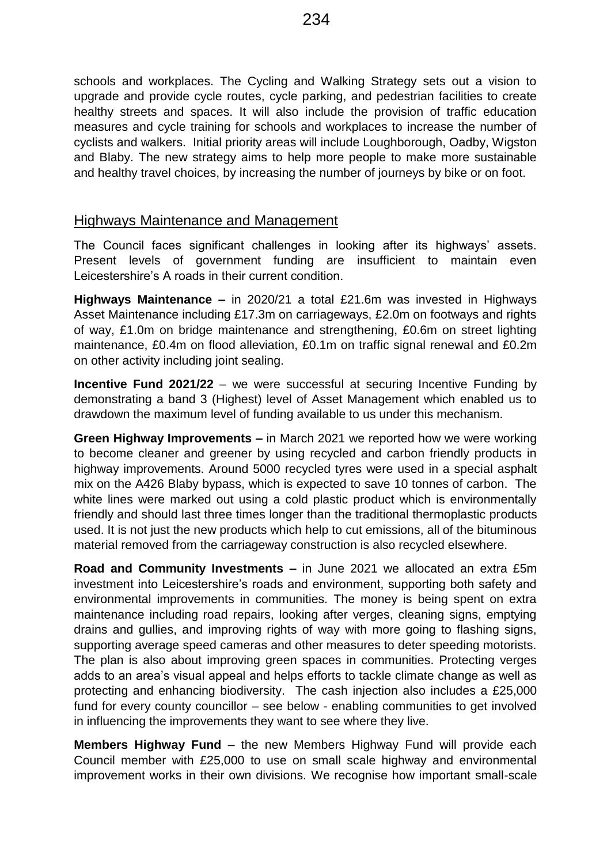schools and workplaces. The Cycling and Walking Strategy sets out a vision to upgrade and provide cycle routes, cycle parking, and pedestrian facilities to create healthy streets and spaces. It will also include the provision of traffic education measures and cycle training for schools and workplaces to increase the number of cyclists and walkers. Initial priority areas will include Loughborough, Oadby, Wigston and Blaby. The new strategy aims to help more people to make more sustainable and healthy travel choices, by increasing the number of journeys by bike or on foot.

## Highways Maintenance and Management

The Council faces significant challenges in looking after its highways' assets. Present levels of government funding are insufficient to maintain even Leicestershire's A roads in their current condition.

**Highways Maintenance –** in 2020/21 a total £21.6m was invested in Highways Asset Maintenance including £17.3m on carriageways, £2.0m on footways and rights of way, £1.0m on bridge maintenance and strengthening, £0.6m on street lighting maintenance, £0.4m on flood alleviation, £0.1m on traffic signal renewal and £0.2m on other activity including joint sealing.

**Incentive Fund 2021/22** – we were successful at securing Incentive Funding by demonstrating a band 3 (Highest) level of Asset Management which enabled us to drawdown the maximum level of funding available to us under this mechanism.

**Green Highway Improvements –** in March 2021 we reported how we were working to become cleaner and greener by using recycled and carbon friendly products in highway improvements. Around 5000 recycled tyres were used in a special asphalt mix on the A426 Blaby bypass, which is expected to save 10 tonnes of carbon. The white lines were marked out using a cold plastic product which is environmentally friendly and should last three times longer than the traditional thermoplastic products used. It is not just the new products which help to cut emissions, all of the bituminous material removed from the carriageway construction is also recycled elsewhere.

**Road and Community Investments –** in June 2021 we allocated an extra £5m investment into Leicestershire's roads and environment, supporting both safety and environmental improvements in communities. The money is being spent on extra maintenance including road repairs, looking after verges, cleaning signs, emptying drains and gullies, and improving rights of way with more going to flashing signs, supporting average speed cameras and other measures to deter speeding motorists. The plan is also about improving green spaces in communities. Protecting verges adds to an area's visual appeal and helps efforts to tackle climate change as well as protecting and enhancing biodiversity.The cash injection also includes a £25,000 fund for every county councillor – see below - enabling communities to get involved in influencing the improvements they want to see where they live.

**Members Highway Fund** – the new Members Highway Fund will provide each Council member with £25,000 to use on small scale highway and environmental improvement works in their own divisions. We recognise how important small-scale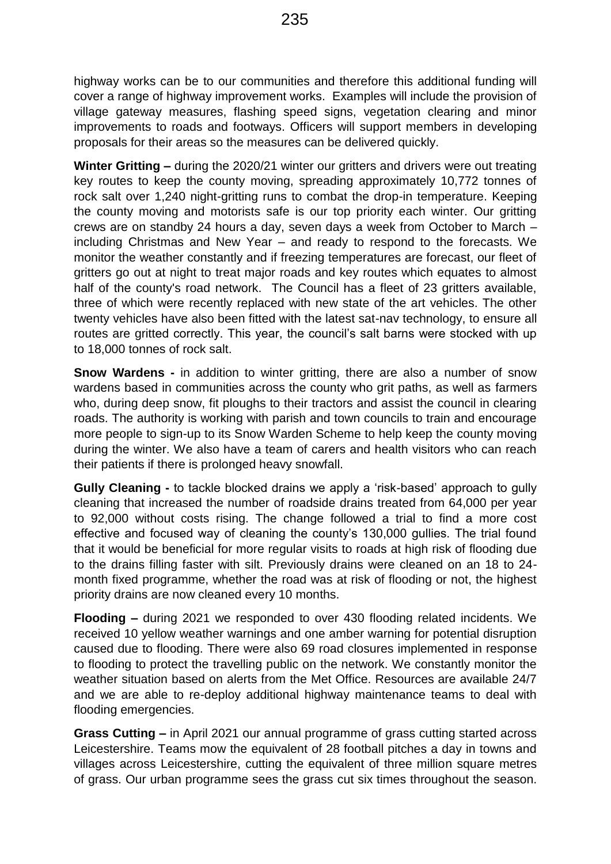highway works can be to our communities and therefore this additional funding will cover a range of highway improvement works. Examples will include the provision of village gateway measures, flashing speed signs, vegetation clearing and minor improvements to roads and footways. Officers will support members in developing proposals for their areas so the measures can be delivered quickly.

**Winter Gritting –** during the 2020/21 winter our gritters and drivers were out treating key routes to keep the county moving, spreading approximately 10,772 tonnes of rock salt over 1,240 night-gritting runs to combat the drop-in temperature. Keeping the county moving and motorists safe is our top priority each winter. Our gritting crews are on standby 24 hours a day, seven days a week from October to March – including Christmas and New Year – and ready to respond to the forecasts. We monitor the weather constantly and if freezing temperatures are forecast, our fleet of gritters go out at night to treat major roads and key routes which equates to almost half of the county's road network. The Council has a fleet of 23 gritters available, three of which were recently replaced with new state of the art vehicles. The other twenty vehicles have also been fitted with the latest sat-nav technology, to ensure all routes are gritted correctly. This year, the council's salt barns were stocked with up to 18,000 tonnes of rock salt.

**Snow Wardens -** in addition to winter gritting, there are also a number of snow wardens based in communities across the county who grit paths, as well as farmers who, during deep snow, fit ploughs to their tractors and assist the council in clearing roads. The authority is working with parish and town councils to train and encourage more people to sign-up to its Snow Warden Scheme to help keep the county moving during the winter. We also have a team of carers and health visitors who can reach their patients if there is prolonged heavy snowfall.

**Gully Cleaning -** to tackle blocked drains we apply a 'risk-based' approach to gully cleaning that increased the number of roadside drains treated from 64,000 per year to 92,000 without costs rising. The change followed a trial to find a more cost effective and focused way of cleaning the county's 130,000 gullies. The trial found that it would be beneficial for more regular visits to roads at high risk of flooding due to the drains filling faster with silt. Previously drains were cleaned on an 18 to 24 month fixed programme, whether the road was at risk of flooding or not, the highest priority drains are now cleaned every 10 months.

**Flooding –** during 2021 we responded to over 430 flooding related incidents. We received 10 yellow weather warnings and one amber warning for potential disruption caused due to flooding. There were also 69 road closures implemented in response to flooding to protect the travelling public on the network. We constantly monitor the weather situation based on alerts from the Met Office. Resources are available 24/7 and we are able to re-deploy additional highway maintenance teams to deal with flooding emergencies.

**Grass Cutting –** in April 2021 our annual programme of grass cutting started across Leicestershire. Teams mow the equivalent of 28 football pitches a day in towns and villages across Leicestershire, cutting the equivalent of three million square metres of grass. Our urban programme sees the grass cut six times throughout the season.